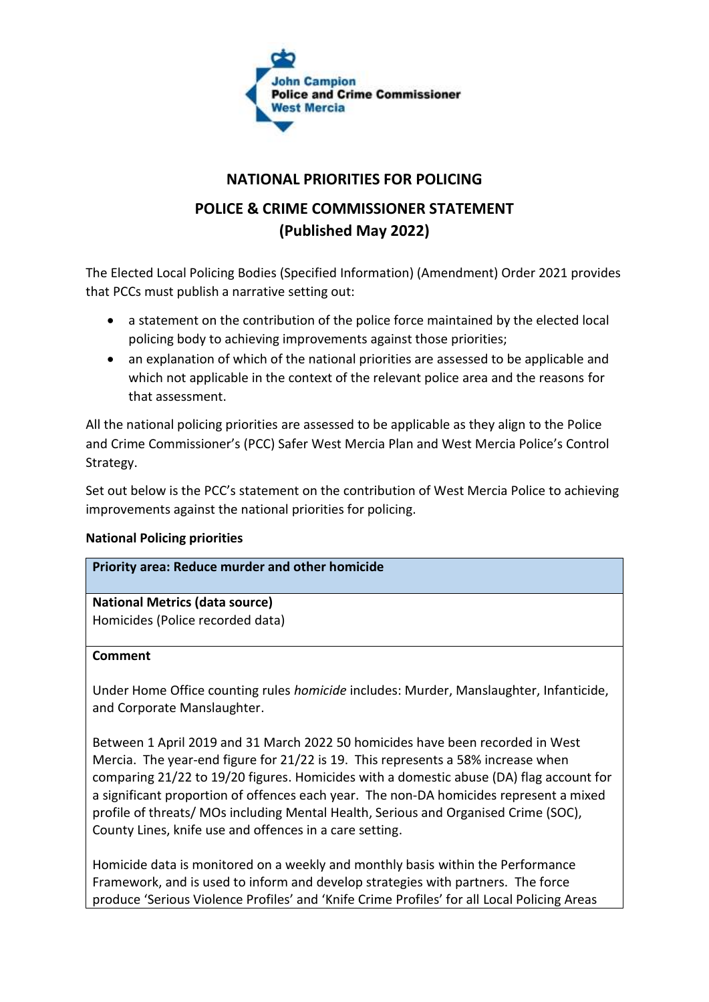

# **NATIONAL PRIORITIES FOR POLICING**

# **POLICE & CRIME COMMISSIONER STATEMENT (Published May 2022)**

The Elected Local Policing Bodies (Specified Information) (Amendment) Order 2021 provides that PCCs must publish a narrative setting out:

- a statement on the contribution of the police force maintained by the elected local policing body to achieving improvements against those priorities;
- an explanation of which of the national priorities are assessed to be applicable and which not applicable in the context of the relevant police area and the reasons for that assessment.

All the national policing priorities are assessed to be applicable as they align to the Police and Crime Commissioner's (PCC) Safer West Mercia Plan and West Mercia Police's Control Strategy.

Set out below is the PCC's statement on the contribution of West Mercia Police to achieving improvements against the national priorities for policing.

# **National Policing priorities**

# **Priority area: Reduce murder and other homicide**

**National Metrics (data source)** Homicides (Police recorded data)

### **Comment**

Under Home Office counting rules *homicide* includes: Murder, Manslaughter, Infanticide, and Corporate Manslaughter.

Between 1 April 2019 and 31 March 2022 50 homicides have been recorded in West Mercia. The year-end figure for 21/22 is 19. This represents a 58% increase when comparing 21/22 to 19/20 figures. Homicides with a domestic abuse (DA) flag account for a significant proportion of offences each year. The non-DA homicides represent a mixed profile of threats/ MOs including Mental Health, Serious and Organised Crime (SOC), County Lines, knife use and offences in a care setting.

Homicide data is monitored on a weekly and monthly basis within the Performance Framework, and is used to inform and develop strategies with partners. The force produce 'Serious Violence Profiles' and 'Knife Crime Profiles' for all Local Policing Areas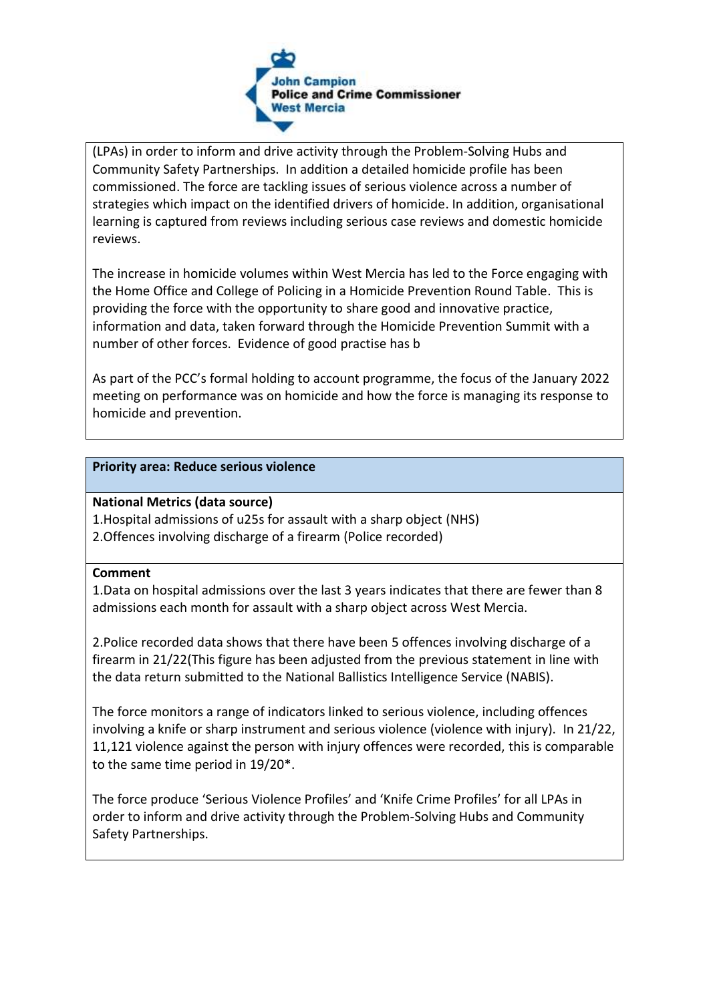

(LPAs) in order to inform and drive activity through the Problem-Solving Hubs and Community Safety Partnerships. In addition a detailed homicide profile has been commissioned. The force are tackling issues of serious violence across a number of strategies which impact on the identified drivers of homicide. In addition, organisational learning is captured from reviews including serious case reviews and domestic homicide reviews.

The increase in homicide volumes within West Mercia has led to the Force engaging with the Home Office and College of Policing in a Homicide Prevention Round Table. This is providing the force with the opportunity to share good and innovative practice, information and data, taken forward through the Homicide Prevention Summit with a number of other forces. Evidence of good practise has b

As part of the PCC's formal holding to account programme, the focus of the January 2022 meeting on performance was on homicide and how the force is managing its response to homicide and prevention.

### **Priority area: Reduce serious violence**

## **National Metrics (data source)**

1.Hospital admissions of u25s for assault with a sharp object (NHS) 2.Offences involving discharge of a firearm (Police recorded)

### **Comment**

1.Data on hospital admissions over the last 3 years indicates that there are fewer than 8 admissions each month for assault with a sharp object across West Mercia.

2.Police recorded data shows that there have been 5 offences involving discharge of a firearm in 21/22(This figure has been adjusted from the previous statement in line with the data return submitted to the National Ballistics Intelligence Service (NABIS).

The force monitors a range of indicators linked to serious violence, including offences involving a knife or sharp instrument and serious violence (violence with injury). In 21/22, 11,121 violence against the person with injury offences were recorded, this is comparable to the same time period in 19/20\*.

The force produce 'Serious Violence Profiles' and 'Knife Crime Profiles' for all LPAs in order to inform and drive activity through the Problem-Solving Hubs and Community Safety Partnerships.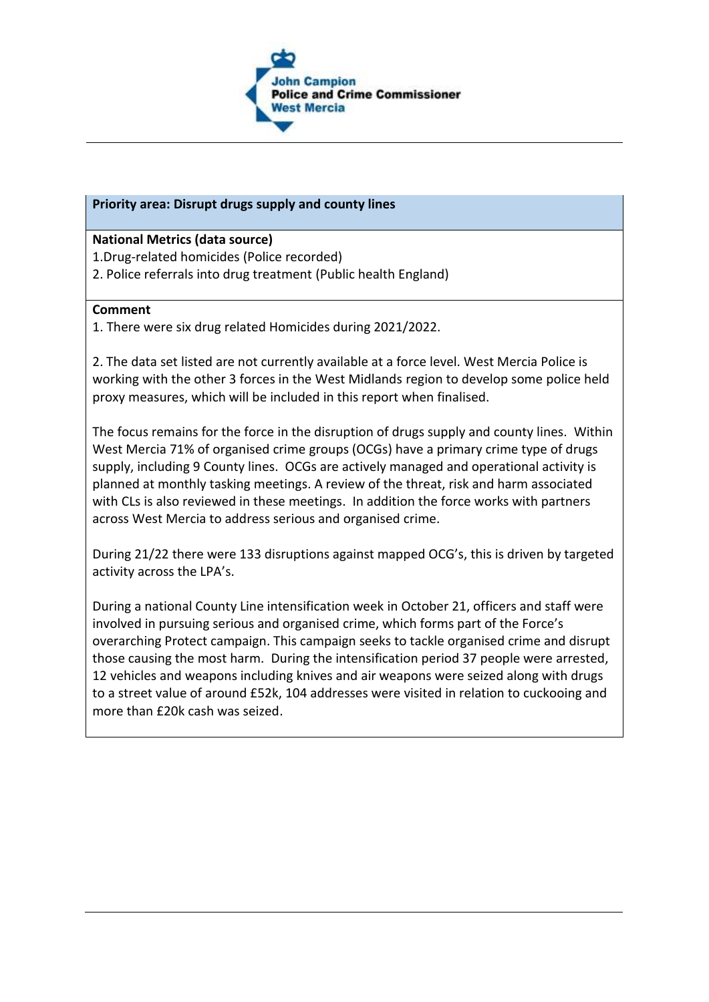

## **Priority area: Disrupt drugs supply and county lines**

### **National Metrics (data source)**

- 1.Drug-related homicides (Police recorded)
- 2. Police referrals into drug treatment (Public health England)

### **Comment**

1. There were six drug related Homicides during 2021/2022.

2. The data set listed are not currently available at a force level. West Mercia Police is working with the other 3 forces in the West Midlands region to develop some police held proxy measures, which will be included in this report when finalised.

The focus remains for the force in the disruption of drugs supply and county lines. Within West Mercia 71% of organised crime groups (OCGs) have a primary crime type of drugs supply, including 9 County lines. OCGs are actively managed and operational activity is planned at monthly tasking meetings. A review of the threat, risk and harm associated with CLs is also reviewed in these meetings. In addition the force works with partners across West Mercia to address serious and organised crime.

During 21/22 there were 133 disruptions against mapped OCG's, this is driven by targeted activity across the LPA's.

During a national County Line intensification week in October 21, officers and staff were involved in pursuing serious and organised crime, which forms part of the Force's overarching Protect campaign. This campaign seeks to tackle organised crime and disrupt those causing the most harm. During the intensification period 37 people were arrested, 12 vehicles and weapons including knives and air weapons were seized along with drugs to a street value of around £52k, 104 addresses were visited in relation to cuckooing and more than £20k cash was seized.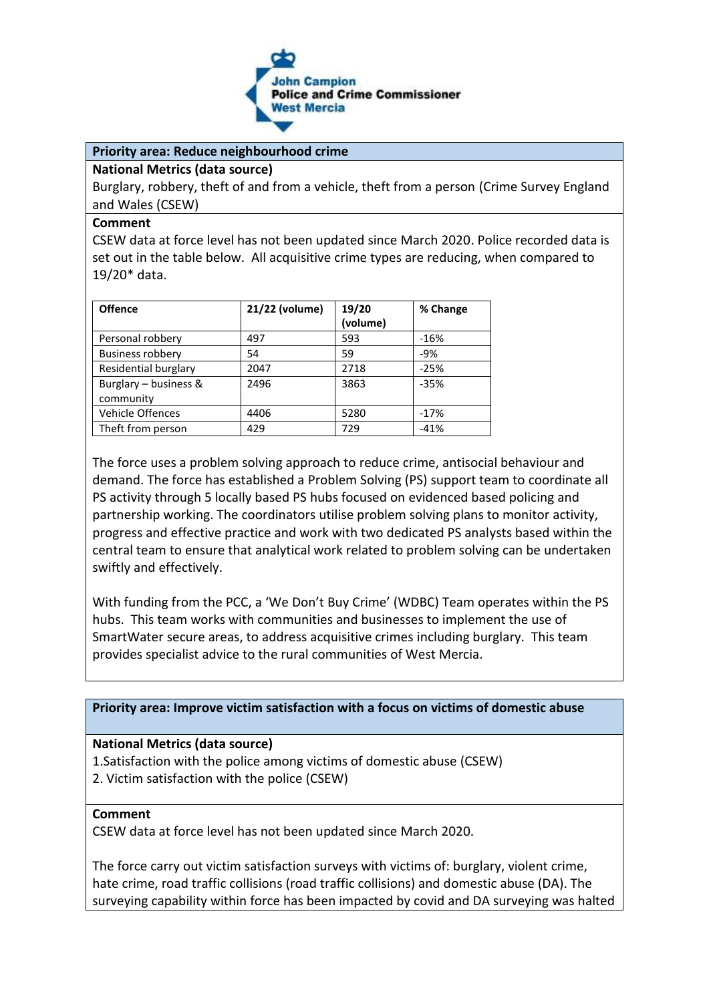

### **Priority area: Reduce neighbourhood crime**

#### **National Metrics (data source)**

Burglary, robbery, theft of and from a vehicle, theft from a person (Crime Survey England and Wales (CSEW)

#### **Comment**

CSEW data at force level has not been updated since March 2020. Police recorded data is set out in the table below. All acquisitive crime types are reducing, when compared to 19/20\* data.

| <b>Offence</b>          | 21/22 (volume) | 19/20    | % Change |
|-------------------------|----------------|----------|----------|
|                         |                | (volume) |          |
| Personal robbery        | 497            | 593      | $-16%$   |
| <b>Business robbery</b> | 54             | 59       | $-9%$    |
| Residential burglary    | 2047           | 2718     | $-25%$   |
| Burglary - business &   | 2496           | 3863     | $-35%$   |
| community               |                |          |          |
| <b>Vehicle Offences</b> | 4406           | 5280     | $-17%$   |
| Theft from person       | 429            | 729      | $-41%$   |

The force uses a problem solving approach to reduce crime, antisocial behaviour and demand. The force has established a Problem Solving (PS) support team to coordinate all PS activity through 5 locally based PS hubs focused on evidenced based policing and partnership working. The coordinators utilise problem solving plans to monitor activity, progress and effective practice and work with two dedicated PS analysts based within the central team to ensure that analytical work related to problem solving can be undertaken swiftly and effectively.

With funding from the PCC, a 'We Don't Buy Crime' (WDBC) Team operates within the PS hubs. This team works with communities and businesses to implement the use of SmartWater secure areas, to address acquisitive crimes including burglary. This team provides specialist advice to the rural communities of West Mercia.

### **Priority area: Improve victim satisfaction with a focus on victims of domestic abuse**

#### **National Metrics (data source)**

1.Satisfaction with the police among victims of domestic abuse (CSEW) 2. Victim satisfaction with the police (CSEW)

#### **Comment**

CSEW data at force level has not been updated since March 2020.

The force carry out victim satisfaction surveys with victims of: burglary, violent crime, hate crime, road traffic collisions (road traffic collisions) and domestic abuse (DA). The surveying capability within force has been impacted by covid and DA surveying was halted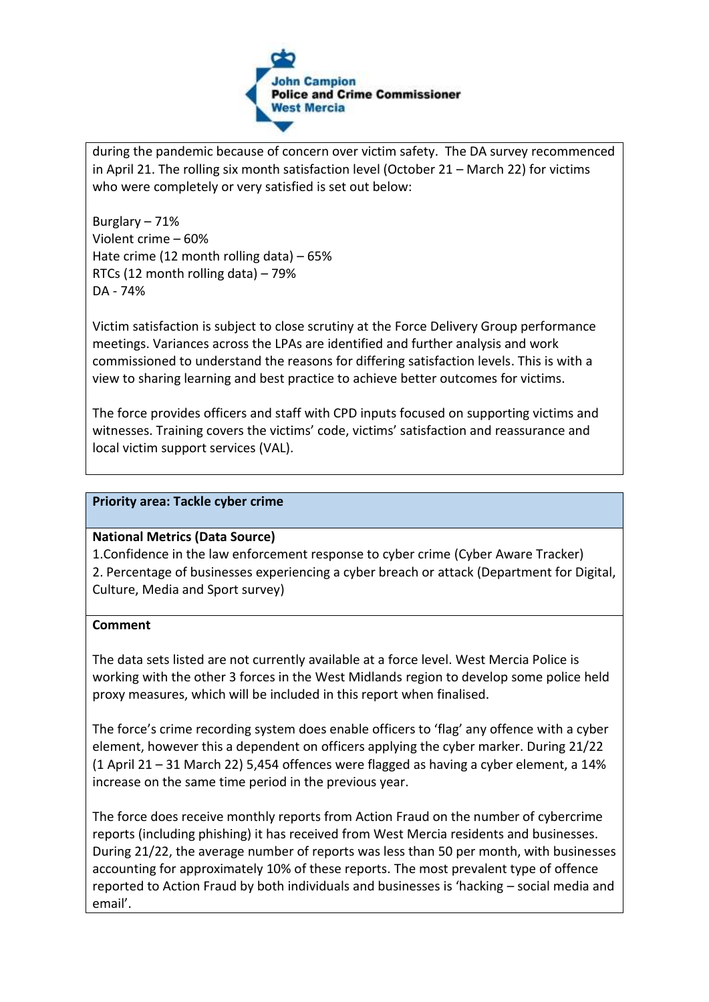

during the pandemic because of concern over victim safety. The DA survey recommenced in April 21. The rolling six month satisfaction level (October 21 – March 22) for victims who were completely or very satisfied is set out below:

Burglary – 71% Violent crime – 60% Hate crime (12 month rolling data) – 65% RTCs (12 month rolling data) – 79% DA - 74%

Victim satisfaction is subject to close scrutiny at the Force Delivery Group performance meetings. Variances across the LPAs are identified and further analysis and work commissioned to understand the reasons for differing satisfaction levels. This is with a view to sharing learning and best practice to achieve better outcomes for victims.

The force provides officers and staff with CPD inputs focused on supporting victims and witnesses. Training covers the victims' code, victims' satisfaction and reassurance and local victim support services (VAL).

### **Priority area: Tackle cyber crime**

### **National Metrics (Data Source)**

1.Confidence in the law enforcement response to cyber crime (Cyber Aware Tracker) 2. Percentage of businesses experiencing a cyber breach or attack (Department for Digital, Culture, Media and Sport survey)

### **Comment**

The data sets listed are not currently available at a force level. West Mercia Police is working with the other 3 forces in the West Midlands region to develop some police held proxy measures, which will be included in this report when finalised.

The force's crime recording system does enable officers to 'flag' any offence with a cyber element, however this a dependent on officers applying the cyber marker. During 21/22 (1 April 21 – 31 March 22) 5,454 offences were flagged as having a cyber element, a 14% increase on the same time period in the previous year.

The force does receive monthly reports from Action Fraud on the number of cybercrime reports (including phishing) it has received from West Mercia residents and businesses. During 21/22, the average number of reports was less than 50 per month, with businesses accounting for approximately 10% of these reports. The most prevalent type of offence reported to Action Fraud by both individuals and businesses is 'hacking – social media and email'.